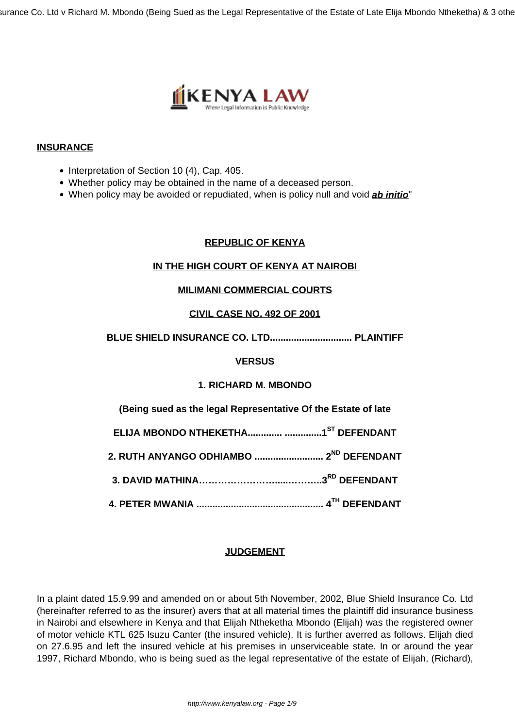

## **INSURANCE**

- Interpretation of Section 10 (4), Cap. 405.
- Whether policy may be obtained in the name of a deceased person.
- When policy may be avoided or repudiated, when is policy null and void **ab initio**"

## **REPUBLIC OF KENYA**

## **IN THE HIGH COURT OF KENYA AT NAIROBI**

## **MILIMANI COMMERCIAL COURTS**

## **CIVIL CASE NO. 492 OF 2001**

## **BLUE SHIELD INSURANCE CO. LTD............................... PLAINTIFF**

### **VERSUS**

# **1. RICHARD M. MBONDO**

**(Being sued as the legal Representative Of the Estate of late**

**ELIJA MBONDO NTHEKETHA............. ..............1ST DEFENDANT**

**2. RUTH ANYANGO ODHIAMBO .......................... 2ND DEFENDANT**

**3. DAVID MATHINA…………………….....………..3RD DEFENDANT**

**4. PETER MWANIA ................................................ 4TH DEFENDANT**

## **JUDGEMENT**

In a plaint dated 15.9.99 and amended on or about 5th November, 2002, Blue Shield Insurance Co. Ltd (hereinafter referred to as the insurer) avers that at all material times the plaintiff did insurance business in Nairobi and elsewhere in Kenya and that Elijah Ntheketha Mbondo (Elijah) was the registered owner of motor vehicle KTL 625 lsuzu Canter (the insured vehicle). It is further averred as follows. Elijah died on 27.6.95 and left the insured vehicle at his premises in unserviceable state. In or around the year 1997, Richard Mbondo, who is being sued as the legal representative of the estate of Elijah, (Richard),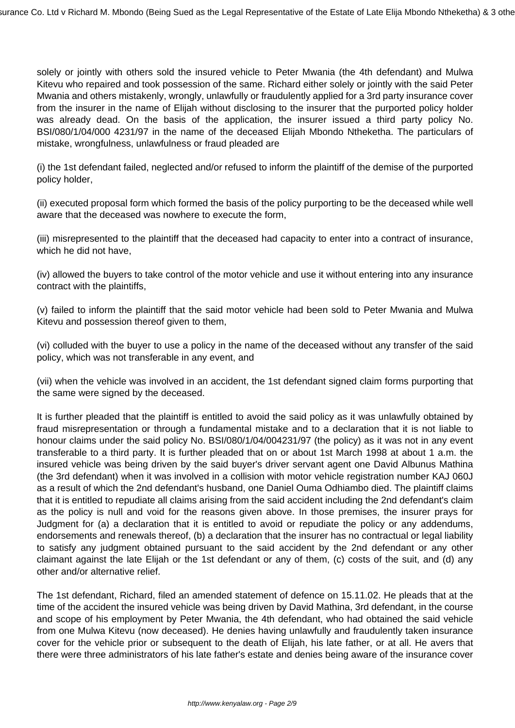solely or jointly with others sold the insured vehicle to Peter Mwania (the 4th defendant) and Mulwa Kitevu who repaired and took possession of the same. Richard either solely or jointly with the said Peter Mwania and others mistakenly, wrongly, unlawfully or fraudulently applied for a 3rd party insurance cover from the insurer in the name of Elijah without disclosing to the insurer that the purported policy holder was already dead. On the basis of the application, the insurer issued a third party policy No. BSI/080/1/04/000 4231/97 in the name of the deceased Elijah Mbondo Ntheketha. The particulars of mistake, wrongfulness, unlawfulness or fraud pleaded are

(i) the 1st defendant failed, neglected and/or refused to inform the plaintiff of the demise of the purported policy holder,

(ii) executed proposal form which formed the basis of the policy purporting to be the deceased while well aware that the deceased was nowhere to execute the form,

(iii) misrepresented to the plaintiff that the deceased had capacity to enter into a contract of insurance, which he did not have,

(iv) allowed the buyers to take control of the motor vehicle and use it without entering into any insurance contract with the plaintiffs,

(v) failed to inform the plaintiff that the said motor vehicle had been sold to Peter Mwania and Mulwa Kitevu and possession thereof given to them,

(vi) colluded with the buyer to use a policy in the name of the deceased without any transfer of the said policy, which was not transferable in any event, and

(vii) when the vehicle was involved in an accident, the 1st defendant signed claim forms purporting that the same were signed by the deceased.

It is further pleaded that the plaintiff is entitled to avoid the said policy as it was unlawfully obtained by fraud misrepresentation or through a fundamental mistake and to a declaration that it is not liable to honour claims under the said policy No. BSI/080/1/04/004231/97 (the policy) as it was not in any event transferable to a third party. It is further pleaded that on or about 1st March 1998 at about 1 a.m. the insured vehicle was being driven by the said buyer's driver servant agent one David Albunus Mathina (the 3rd defendant) when it was involved in a collision with motor vehicle registration number KAJ 060J as a result of which the 2nd defendant's husband, one Daniel Ouma Odhiambo died. The plaintiff claims that it is entitled to repudiate all claims arising from the said accident including the 2nd defendant's claim as the policy is null and void for the reasons given above. In those premises, the insurer prays for Judgment for (a) a declaration that it is entitled to avoid or repudiate the policy or any addendums, endorsements and renewals thereof, (b) a declaration that the insurer has no contractual or legal liability to satisfy any judgment obtained pursuant to the said accident by the 2nd defendant or any other claimant against the late Elijah or the 1st defendant or any of them, (c) costs of the suit, and (d) any other and/or alternative relief.

The 1st defendant, Richard, filed an amended statement of defence on 15.11.02. He pleads that at the time of the accident the insured vehicle was being driven by David Mathina, 3rd defendant, in the course and scope of his employment by Peter Mwania, the 4th defendant, who had obtained the said vehicle from one Mulwa Kitevu (now deceased). He denies having unlawfully and fraudulently taken insurance cover for the vehicle prior or subsequent to the death of Elijah, his late father, or at all. He avers that there were three administrators of his late father's estate and denies being aware of the insurance cover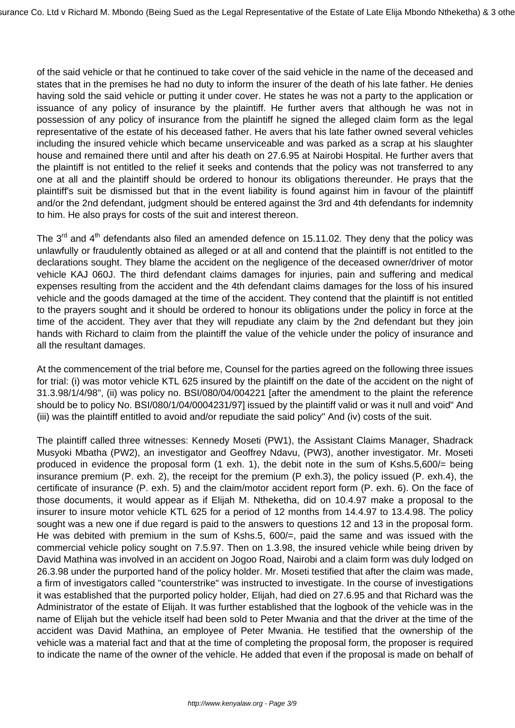of the said vehicle or that he continued to take cover of the said vehicle in the name of the deceased and states that in the premises he had no duty to inform the insurer of the death of his late father. He denies having sold the said vehicle or putting it under cover. He states he was not a party to the application or issuance of any policy of insurance by the plaintiff. He further avers that although he was not in possession of any policy of insurance from the plaintiff he signed the alleged claim form as the legal representative of the estate of his deceased father. He avers that his late father owned several vehicles including the insured vehicle which became unserviceable and was parked as a scrap at his slaughter house and remained there until and after his death on 27.6.95 at Nairobi Hospital. He further avers that the plaintiff is not entitled to the relief it seeks and contends that the policy was not transferred to any one at all and the plaintiff should be ordered to honour its obligations thereunder. He prays that the plaintiff's suit be dismissed but that in the event liability is found against him in favour of the plaintiff and/or the 2nd defendant, judgment should be entered against the 3rd and 4th defendants for indemnity to him. He also prays for costs of the suit and interest thereon.

The  $3<sup>rd</sup>$  and  $4<sup>th</sup>$  defendants also filed an amended defence on 15.11.02. They deny that the policy was unlawfully or fraudulently obtained as alleged or at all and contend that the plaintiff is not entitled to the declarations sought. They blame the accident on the negligence of the deceased owner/driver of motor vehicle KAJ 060J. The third defendant claims damages for injuries, pain and suffering and medical expenses resulting from the accident and the 4th defendant claims damages for the loss of his insured vehicle and the goods damaged at the time of the accident. They contend that the plaintiff is not entitled to the prayers sought and it should be ordered to honour its obligations under the policy in force at the time of the accident. They aver that they will repudiate any claim by the 2nd defendant but they join hands with Richard to claim from the plaintiff the value of the vehicle under the policy of insurance and all the resultant damages.

At the commencement of the trial before me, Counsel for the parties agreed on the following three issues for trial: (i) was motor vehicle KTL 625 insured by the plaintiff on the date of the accident on the night of 31.3.98/1/4/98", (ii) was policy no. BSI/080/04/004221 [after the amendment to the plaint the reference should be to policy No. BSI/080/1/04/0004231/97] issued by the plaintiff valid or was it null and void" And (iii) was the plaintiff entitled to avoid and/or repudiate the said policy" And (iv) costs of the suit.

The plaintiff called three witnesses: Kennedy Moseti (PW1), the Assistant Claims Manager, Shadrack Musyoki Mbatha (PW2), an investigator and Geoffrey Ndavu, (PW3), another investigator. Mr. Moseti produced in evidence the proposal form (1 exh. 1), the debit note in the sum of Kshs.5,600/= being insurance premium (P. exh. 2), the receipt for the premium (P exh.3), the policy issued (P. exh.4), the certificate of insurance (P. exh. 5) and the claim/motor accident report form (P. exh. 6). On the face of those documents, it would appear as if Elijah M. Ntheketha, did on 10.4.97 make a proposal to the insurer to insure motor vehicle KTL 625 for a period of 12 months from 14.4.97 to 13.4.98. The policy sought was a new one if due regard is paid to the answers to questions 12 and 13 in the proposal form. He was debited with premium in the sum of Kshs.5, 600/=, paid the same and was issued with the commercial vehicle policy sought on 7.5.97. Then on 1.3.98, the insured vehicle while being driven by David Mathina was involved in an accident on Jogoo Road, Nairobi and a claim form was duly lodged on 26.3.98 under the purported hand of the policy holder. Mr. Moseti testified that after the claim was made, a firm of investigators called "counterstrike" was instructed to investigate. In the course of investigations it was established that the purported policy holder, Elijah, had died on 27.6.95 and that Richard was the Administrator of the estate of Elijah. It was further established that the logbook of the vehicle was in the name of Elijah but the vehicle itself had been sold to Peter Mwania and that the driver at the time of the accident was David Mathina, an employee of Peter Mwania. He testified that the ownership of the vehicle was a material fact and that at the time of completing the proposal form, the proposer is required to indicate the name of the owner of the vehicle. He added that even if the proposal is made on behalf of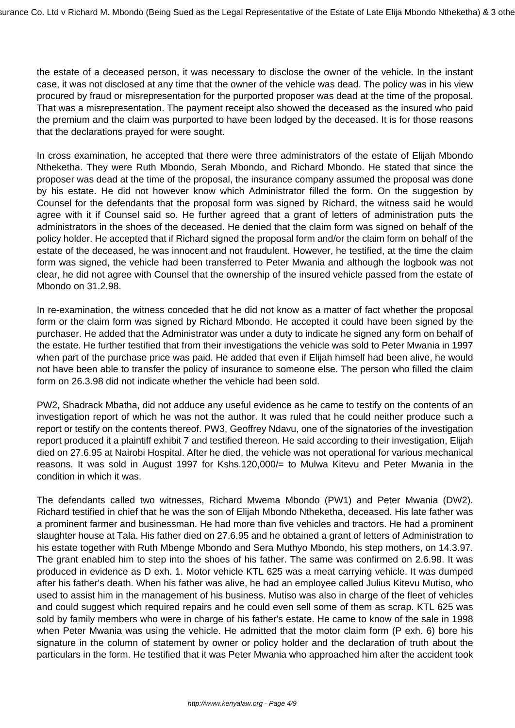the estate of a deceased person, it was necessary to disclose the owner of the vehicle. In the instant case, it was not disclosed at any time that the owner of the vehicle was dead. The policy was in his view procured by fraud or misrepresentation for the purported proposer was dead at the time of the proposal. That was a misrepresentation. The payment receipt also showed the deceased as the insured who paid the premium and the claim was purported to have been lodged by the deceased. It is for those reasons that the declarations prayed for were sought.

In cross examination, he accepted that there were three administrators of the estate of Elijah Mbondo Ntheketha. They were Ruth Mbondo, Serah Mbondo, and Richard Mbondo. He stated that since the proposer was dead at the time of the proposal, the insurance company assumed the proposal was done by his estate. He did not however know which Administrator filled the form. On the suggestion by Counsel for the defendants that the proposal form was signed by Richard, the witness said he would agree with it if Counsel said so. He further agreed that a grant of letters of administration puts the administrators in the shoes of the deceased. He denied that the claim form was signed on behalf of the policy holder. He accepted that if Richard signed the proposal form and/or the claim form on behalf of the estate of the deceased, he was innocent and not fraudulent. However, he testified, at the time the claim form was signed, the vehicle had been transferred to Peter Mwania and although the logbook was not clear, he did not agree with Counsel that the ownership of the insured vehicle passed from the estate of Mbondo on 31.2.98.

In re-examination, the witness conceded that he did not know as a matter of fact whether the proposal form or the claim form was signed by Richard Mbondo. He accepted it could have been signed by the purchaser. He added that the Administrator was under a duty to indicate he signed any form on behalf of the estate. He further testified that from their investigations the vehicle was sold to Peter Mwania in 1997 when part of the purchase price was paid. He added that even if Elijah himself had been alive, he would not have been able to transfer the policy of insurance to someone else. The person who filled the claim form on 26.3.98 did not indicate whether the vehicle had been sold.

PW2, Shadrack Mbatha, did not adduce any useful evidence as he came to testify on the contents of an investigation report of which he was not the author. It was ruled that he could neither produce such a report or testify on the contents thereof. PW3, Geoffrey Ndavu, one of the signatories of the investigation report produced it a plaintiff exhibit 7 and testified thereon. He said according to their investigation, Elijah died on 27.6.95 at Nairobi Hospital. After he died, the vehicle was not operational for various mechanical reasons. It was sold in August 1997 for Kshs.120,000/= to Mulwa Kitevu and Peter Mwania in the condition in which it was.

The defendants called two witnesses, Richard Mwema Mbondo (PW1) and Peter Mwania (DW2). Richard testified in chief that he was the son of Elijah Mbondo Ntheketha, deceased. His late father was a prominent farmer and businessman. He had more than five vehicles and tractors. He had a prominent slaughter house at Tala. His father died on 27.6.95 and he obtained a grant of letters of Administration to his estate together with Ruth Mbenge Mbondo and Sera Muthyo Mbondo, his step mothers, on 14.3.97. The grant enabled him to step into the shoes of his father. The same was confirmed on 2.6.98. It was produced in evidence as D exh. 1. Motor vehicle KTL 625 was a meat carrying vehicle. It was dumped after his father's death. When his father was alive, he had an employee called Julius Kitevu Mutiso, who used to assist him in the management of his business. Mutiso was also in charge of the fleet of vehicles and could suggest which required repairs and he could even sell some of them as scrap. KTL 625 was sold by family members who were in charge of his father's estate. He came to know of the sale in 1998 when Peter Mwania was using the vehicle. He admitted that the motor claim form (P exh. 6) bore his signature in the column of statement by owner or policy holder and the declaration of truth about the particulars in the form. He testified that it was Peter Mwania who approached him after the accident took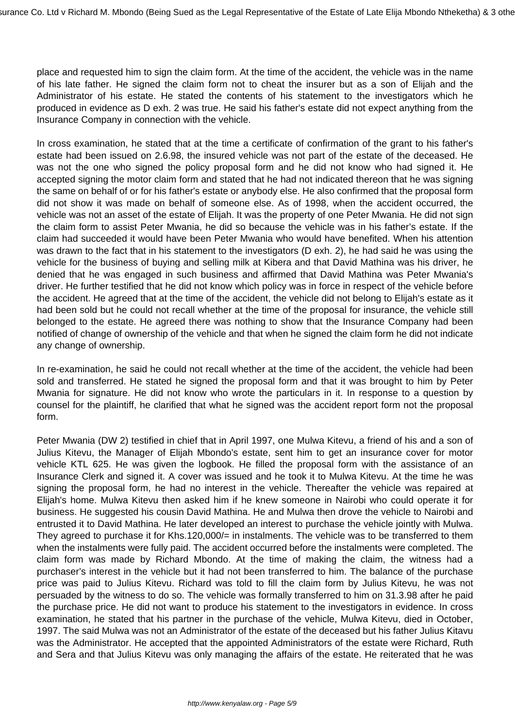place and requested him to sign the claim form. At the time of the accident, the vehicle was in the name of his late father. He signed the claim form not to cheat the insurer but as a son of Elijah and the Administrator of his estate. He stated the contents of his statement to the investigators which he produced in evidence as D exh. 2 was true. He said his father's estate did not expect anything from the Insurance Company in connection with the vehicle.

In cross examination, he stated that at the time a certificate of confirmation of the grant to his father's estate had been issued on 2.6.98, the insured vehicle was not part of the estate of the deceased. He was not the one who signed the policy proposal form and he did not know who had signed it. He accepted signing the motor claim form and stated that he had not indicated thereon that he was signing the same on behalf of or for his father's estate or anybody else. He also confirmed that the proposal form did not show it was made on behalf of someone else. As of 1998, when the accident occurred, the vehicle was not an asset of the estate of Elijah. It was the property of one Peter Mwania. He did not sign the claim form to assist Peter Mwania, he did so because the vehicle was in his father's estate. If the claim had succeeded it would have been Peter Mwania who would have benefited. When his attention was drawn to the fact that in his statement to the investigators (D exh. 2), he had said he was using the vehicle for the business of buying and selling milk at Kibera and that David Mathina was his driver, he denied that he was engaged in such business and affirmed that David Mathina was Peter Mwania's driver. He further testified that he did not know which policy was in force in respect of the vehicle before the accident. He agreed that at the time of the accident, the vehicle did not belong to Elijah's estate as it had been sold but he could not recall whether at the time of the proposal for insurance, the vehicle still belonged to the estate. He agreed there was nothing to show that the Insurance Company had been notified of change of ownership of the vehicle and that when he signed the claim form he did not indicate any change of ownership.

In re-examination, he said he could not recall whether at the time of the accident, the vehicle had been sold and transferred. He stated he signed the proposal form and that it was brought to him by Peter Mwania for signature. He did not know who wrote the particulars in it. In response to a question by counsel for the plaintiff, he clarified that what he signed was the accident report form not the proposal form.

Peter Mwania (DW 2) testified in chief that in April 1997, one Mulwa Kitevu, a friend of his and a son of Julius Kitevu, the Manager of Elijah Mbondo's estate, sent him to get an insurance cover for motor vehicle KTL 625. He was given the logbook. He filled the proposal form with the assistance of an Insurance Clerk and signed it. A cover was issued and he took it to Mulwa Kitevu. At the time he was signing the proposal form, he had no interest in the vehicle. Thereafter the vehicle was repaired at Elijah's home. Mulwa Kitevu then asked him if he knew someone in Nairobi who could operate it for business. He suggested his cousin David Mathina. He and Mulwa then drove the vehicle to Nairobi and entrusted it to David Mathina. He later developed an interest to purchase the vehicle jointly with Mulwa. They agreed to purchase it for Khs.120,000/= in instalments. The vehicle was to be transferred to them when the instalments were fully paid. The accident occurred before the instalments were completed. The claim form was made by Richard Mbondo. At the time of making the claim, the witness had a purchaser's interest in the vehicle but it had not been transferred to him. The balance of the purchase price was paid to Julius Kitevu. Richard was told to fill the claim form by Julius Kitevu, he was not persuaded by the witness to do so. The vehicle was formally transferred to him on 31.3.98 after he paid the purchase price. He did not want to produce his statement to the investigators in evidence. In cross examination, he stated that his partner in the purchase of the vehicle, Mulwa Kitevu, died in October, 1997. The said Mulwa was not an Administrator of the estate of the deceased but his father Julius Kitavu was the Administrator. He accepted that the appointed Administrators of the estate were Richard, Ruth and Sera and that Julius Kitevu was only managing the affairs of the estate. He reiterated that he was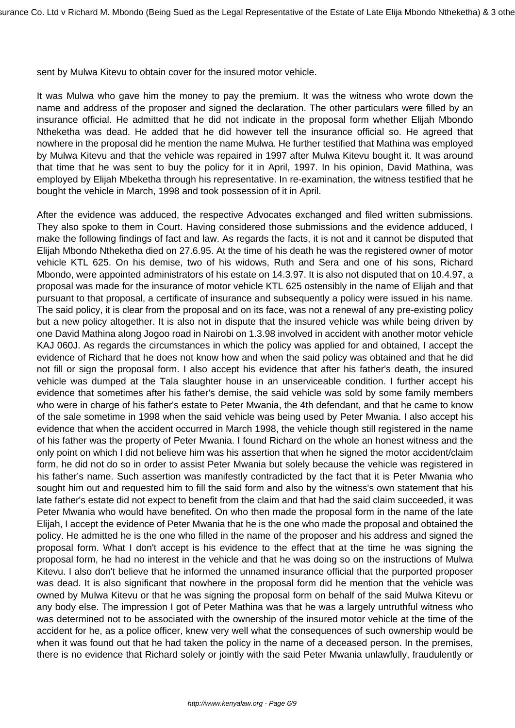sent by Mulwa Kitevu to obtain cover for the insured motor vehicle.

It was Mulwa who gave him the money to pay the premium. It was the witness who wrote down the name and address of the proposer and signed the declaration. The other particulars were filled by an insurance official. He admitted that he did not indicate in the proposal form whether Elijah Mbondo Ntheketha was dead. He added that he did however tell the insurance official so. He agreed that nowhere in the proposal did he mention the name Mulwa. He further testified that Mathina was employed by Mulwa Kitevu and that the vehicle was repaired in 1997 after Mulwa Kitevu bought it. It was around that time that he was sent to buy the policy for it in April, 1997. In his opinion, David Mathina, was employed by Elijah Mbeketha through his representative. In re-examination, the witness testified that he bought the vehicle in March, 1998 and took possession of it in April.

After the evidence was adduced, the respective Advocates exchanged and filed written submissions. They also spoke to them in Court. Having considered those submissions and the evidence adduced, I make the following findings of fact and law. As regards the facts, it is not and it cannot be disputed that Elijah Mbondo Ntheketha died on 27.6.95. At the time of his death he was the registered owner of motor vehicle KTL 625. On his demise, two of his widows, Ruth and Sera and one of his sons, Richard Mbondo, were appointed administrators of his estate on 14.3.97. It is also not disputed that on 10.4.97, a proposal was made for the insurance of motor vehicle KTL 625 ostensibly in the name of Elijah and that pursuant to that proposal, a certificate of insurance and subsequently a policy were issued in his name. The said policy, it is clear from the proposal and on its face, was not a renewal of any pre-existing policy but a new policy altogether. It is also not in dispute that the insured vehicle was while being driven by one David Mathina along Jogoo road in Nairobi on 1.3.98 involved in accident with another motor vehicle KAJ 060J. As regards the circumstances in which the policy was applied for and obtained, I accept the evidence of Richard that he does not know how and when the said policy was obtained and that he did not fill or sign the proposal form. I also accept his evidence that after his father's death, the insured vehicle was dumped at the Tala slaughter house in an unserviceable condition. I further accept his evidence that sometimes after his father's demise, the said vehicle was sold by some family members who were in charge of his father's estate to Peter Mwania, the 4th defendant, and that he came to know of the sale sometime in 1998 when the said vehicle was being used by Peter Mwania. I also accept his evidence that when the accident occurred in March 1998, the vehicle though still registered in the name of his father was the property of Peter Mwania. I found Richard on the whole an honest witness and the only point on which I did not believe him was his assertion that when he signed the motor accident/claim form, he did not do so in order to assist Peter Mwania but solely because the vehicle was registered in his father's name. Such assertion was manifestly contradicted by the fact that it is Peter Mwania who sought him out and requested him to fill the said form and also by the witness's own statement that his late father's estate did not expect to benefit from the claim and that had the said claim succeeded, it was Peter Mwania who would have benefited. On who then made the proposal form in the name of the late Elijah, I accept the evidence of Peter Mwania that he is the one who made the proposal and obtained the policy. He admitted he is the one who filled in the name of the proposer and his address and signed the proposal form. What I don't accept is his evidence to the effect that at the time he was signing the proposal form, he had no interest in the vehicle and that he was doing so on the instructions of Mulwa Kitevu. I also don't believe that he informed the unnamed insurance official that the purported proposer was dead. It is also significant that nowhere in the proposal form did he mention that the vehicle was owned by Mulwa Kitevu or that he was signing the proposal form on behalf of the said Mulwa Kitevu or any body else. The impression I got of Peter Mathina was that he was a largely untruthful witness who was determined not to be associated with the ownership of the insured motor vehicle at the time of the accident for he, as a police officer, knew very well what the consequences of such ownership would be when it was found out that he had taken the policy in the name of a deceased person. In the premises, there is no evidence that Richard solely or jointly with the said Peter Mwania unlawfully, fraudulently or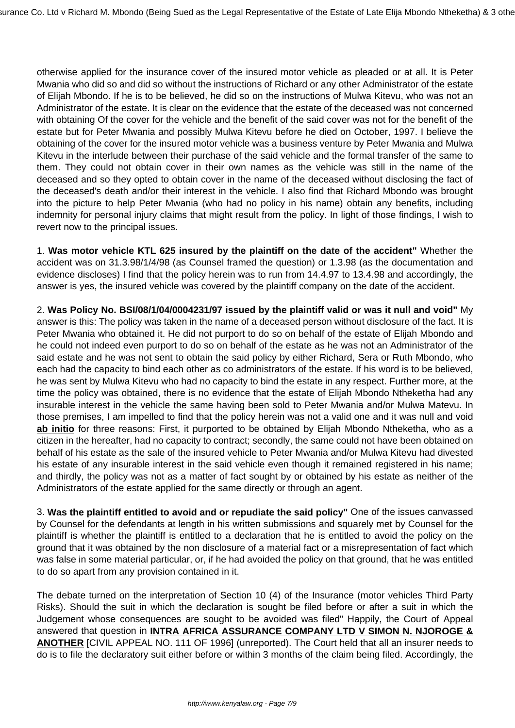otherwise applied for the insurance cover of the insured motor vehicle as pleaded or at all. It is Peter Mwania who did so and did so without the instructions of Richard or any other Administrator of the estate of Elijah Mbondo. If he is to be believed, he did so on the instructions of Mulwa Kitevu, who was not an Administrator of the estate. It is clear on the evidence that the estate of the deceased was not concerned with obtaining Of the cover for the vehicle and the benefit of the said cover was not for the benefit of the estate but for Peter Mwania and possibly Mulwa Kitevu before he died on October, 1997. I believe the obtaining of the cover for the insured motor vehicle was a business venture by Peter Mwania and Mulwa Kitevu in the interlude between their purchase of the said vehicle and the formal transfer of the same to them. They could not obtain cover in their own names as the vehicle was still in the name of the deceased and so they opted to obtain cover in the name of the deceased without disclosing the fact of the deceased's death and/or their interest in the vehicle. I also find that Richard Mbondo was brought into the picture to help Peter Mwania (who had no policy in his name) obtain any benefits, including indemnity for personal injury claims that might result from the policy. In light of those findings, I wish to revert now to the principal issues.

1. **Was motor vehicle KTL 625 insured by the plaintiff on the date of the accident"** Whether the accident was on 31.3.98/1/4/98 (as Counsel framed the question) or 1.3.98 (as the documentation and evidence discloses) I find that the policy herein was to run from 14.4.97 to 13.4.98 and accordingly, the answer is yes, the insured vehicle was covered by the plaintiff company on the date of the accident.

2. **Was Policy No. BSI/08/1/04/0004231/97 issued by the plaintiff valid or was it null and void"** My answer is this: The policy was taken in the name of a deceased person without disclosure of the fact. It is Peter Mwania who obtained it. He did not purport to do so on behalf of the estate of Elijah Mbondo and he could not indeed even purport to do so on behalf of the estate as he was not an Administrator of the said estate and he was not sent to obtain the said policy by either Richard, Sera or Ruth Mbondo, who each had the capacity to bind each other as co administrators of the estate. If his word is to be believed, he was sent by Mulwa Kitevu who had no capacity to bind the estate in any respect. Further more, at the time the policy was obtained, there is no evidence that the estate of Elijah Mbondo Ntheketha had any insurable interest in the vehicle the same having been sold to Peter Mwania and/or Mulwa Matevu. In those premises, I am impelled to find that the policy herein was not a valid one and it was null and void **ab initio** for three reasons: First, it purported to be obtained by Elijah Mbondo Ntheketha, who as a citizen in the hereafter, had no capacity to contract; secondly, the same could not have been obtained on behalf of his estate as the sale of the insured vehicle to Peter Mwania and/or Mulwa Kitevu had divested his estate of any insurable interest in the said vehicle even though it remained registered in his name; and thirdly, the policy was not as a matter of fact sought by or obtained by his estate as neither of the Administrators of the estate applied for the same directly or through an agent.

3. **Was the plaintiff entitled to avoid and or repudiate the said policy"** One of the issues canvassed by Counsel for the defendants at length in his written submissions and squarely met by Counsel for the plaintiff is whether the plaintiff is entitled to a declaration that he is entitled to avoid the policy on the ground that it was obtained by the non disclosure of a material fact or a misrepresentation of fact which was false in some material particular, or, if he had avoided the policy on that ground, that he was entitled to do so apart from any provision contained in it.

The debate turned on the interpretation of Section 10 (4) of the Insurance (motor vehicles Third Party Risks). Should the suit in which the declaration is sought be filed before or after a suit in which the Judgement whose consequences are sought to be avoided was filed" Happily, the Court of Appeal answered that question in **INTRA AFRICA ASSURANCE COMPANY LTD V SIMON N. NJOROGE & ANOTHER** [CIVIL APPEAL NO. 111 OF 1996] (unreported). The Court held that all an insurer needs to do is to file the declaratory suit either before or within 3 months of the claim being filed. Accordingly, the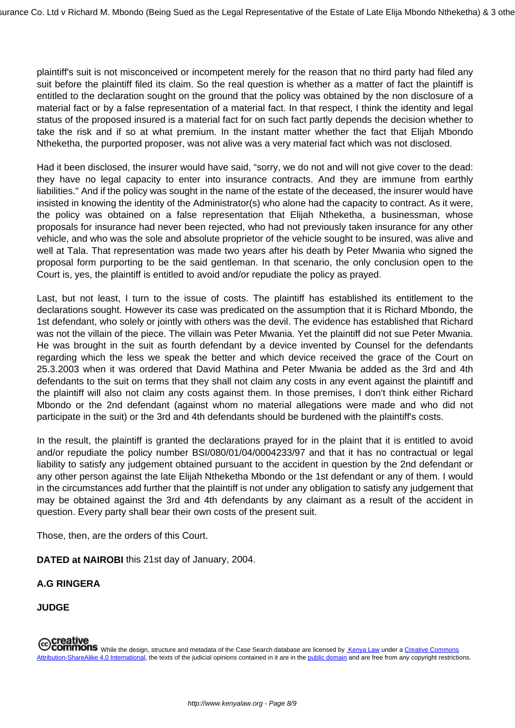plaintiff's suit is not misconceived or incompetent merely for the reason that no third party had filed any suit before the plaintiff filed its claim. So the real question is whether as a matter of fact the plaintiff is entitled to the declaration sought on the ground that the policy was obtained by the non disclosure of a material fact or by a false representation of a material fact. In that respect, I think the identity and legal status of the proposed insured is a material fact for on such fact partly depends the decision whether to take the risk and if so at what premium. In the instant matter whether the fact that Elijah Mbondo Ntheketha, the purported proposer, was not alive was a very material fact which was not disclosed.

Had it been disclosed, the insurer would have said, "sorry, we do not and will not give cover to the dead: they have no legal capacity to enter into insurance contracts. And they are immune from earthly liabilities." And if the policy was sought in the name of the estate of the deceased, the insurer would have insisted in knowing the identity of the Administrator(s) who alone had the capacity to contract. As it were, the policy was obtained on a false representation that Elijah Ntheketha, a businessman, whose proposals for insurance had never been rejected, who had not previously taken insurance for any other vehicle, and who was the sole and absolute proprietor of the vehicle sought to be insured, was alive and well at Tala. That representation was made two years after his death by Peter Mwania who signed the proposal form purporting to be the said gentleman. In that scenario, the only conclusion open to the Court is, yes, the plaintiff is entitled to avoid and/or repudiate the policy as prayed.

Last, but not least, I turn to the issue of costs. The plaintiff has established its entitlement to the declarations sought. However its case was predicated on the assumption that it is Richard Mbondo, the 1st defendant, who solely or jointly with others was the devil. The evidence has established that Richard was not the villain of the piece. The villain was Peter Mwania. Yet the plaintiff did not sue Peter Mwania. He was brought in the suit as fourth defendant by a device invented by Counsel for the defendants regarding which the less we speak the better and which device received the grace of the Court on 25.3.2003 when it was ordered that David Mathina and Peter Mwania be added as the 3rd and 4th defendants to the suit on terms that they shall not claim any costs in any event against the plaintiff and the plaintiff will also not claim any costs against them. In those premises, I don't think either Richard Mbondo or the 2nd defendant (against whom no material allegations were made and who did not participate in the suit) or the 3rd and 4th defendants should be burdened with the plaintiff's costs.

In the result, the plaintiff is granted the declarations prayed for in the plaint that it is entitled to avoid and/or repudiate the policy number BSI/080/01/04/0004233/97 and that it has no contractual or legal liability to satisfy any judgement obtained pursuant to the accident in question by the 2nd defendant or any other person against the late Elijah Ntheketha Mbondo or the 1st defendant or any of them. I would in the circumstances add further that the plaintiff is not under any obligation to satisfy any judgement that may be obtained against the 3rd and 4th defendants by any claimant as a result of the accident in question. Every party shall bear their own costs of the present suit.

Those, then, are the orders of this Court.

**DATED at NAIROBI** this 21st day of January, 2004.

**A.G RINGERA**

**JUDGE**

**Creative**<br>Commons While the design, structure and metadata of the Case Search database are licensed by Kenya Law under a Creative Commons<br>in the public domain and are free from any copyright restrict Attribution-ShareAlike 4.0 International, the texts of the judicial opinions contained in it are in the public domain and are free from any copyright restrictions.